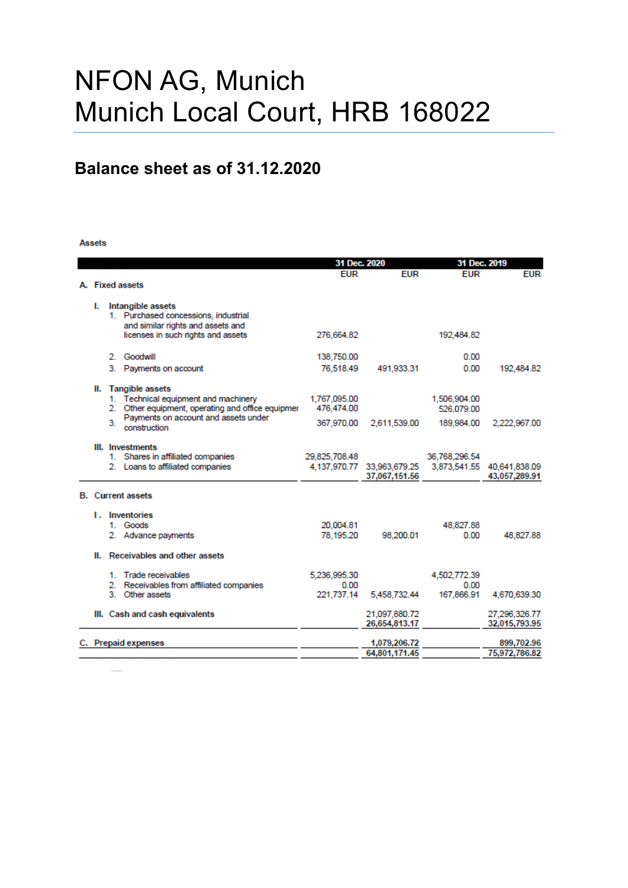# NFON AG, Munich Munich Local Court, HRB 168022

## **Balance sheet as of 31.12.2020**

#### Assets

|    |    | 31 Dec. 2020                                                                              |               | 31 Dec. 2019                                                           |               |               |
|----|----|-------------------------------------------------------------------------------------------|---------------|------------------------------------------------------------------------|---------------|---------------|
|    |    |                                                                                           | <b>EUR</b>    | <b>FUR</b>                                                             | <b>EUR</b>    | <b>EUR</b>    |
|    |    | A. Fixed assets                                                                           |               |                                                                        |               |               |
|    |    |                                                                                           |               |                                                                        |               |               |
| L. |    | Intangible assets                                                                         |               |                                                                        |               |               |
|    |    | 1. Purchased concessions, industrial<br>and similar rights and assets and                 |               |                                                                        |               |               |
|    |    | licenses in such rights and assets                                                        | 276.664.82    |                                                                        | 192.484.82    |               |
|    |    |                                                                                           |               |                                                                        |               |               |
|    |    | 2 Goodwill                                                                                | 138,750.00    |                                                                        | 0.00          |               |
|    |    | 3. Payments on account                                                                    | 76,518.49     | 491,933.31                                                             | 0.00          | 192,484.82    |
|    |    |                                                                                           |               |                                                                        |               |               |
|    |    | II. Tangible assets                                                                       |               |                                                                        |               |               |
|    |    | 1. Technical equipment and machinery                                                      | 1,767,095.00  |                                                                        | 1,506,904.00  |               |
|    |    | 2. Other equipment, operating and office equipmer<br>Payments on account and assets under | 476.474.00    |                                                                        | 526.079.00    |               |
|    | 3. | construction                                                                              | 367,970.00    | 2.611.539.00                                                           | 189,984.00    | 2,222,967.00  |
|    |    |                                                                                           |               |                                                                        |               |               |
|    |    | III. Investments                                                                          |               |                                                                        |               |               |
|    |    | 1. Shares in affiliated companies                                                         | 29,825,708.48 |                                                                        | 36,768,296.54 |               |
|    |    | 2. Loans to affiliated companies                                                          |               | 4,137,970.77 33,963,679.25 3,873,541.55 40,641,838.09<br>37,067,151.56 |               | 43,057,289.91 |
|    |    |                                                                                           |               |                                                                        |               |               |
|    |    | <b>B.</b> Current assets                                                                  |               |                                                                        |               |               |
|    |    | <b>1.</b> Inventories                                                                     |               |                                                                        |               |               |
|    |    | 1 Goods                                                                                   | 20,004.81     |                                                                        | 48,827.88     |               |
|    |    | 2. Advance payments                                                                       | 78.195.20     | 98.200.01                                                              | 0.00          | 48.827.88     |
|    |    |                                                                                           |               |                                                                        |               |               |
|    |    | II. Receivables and other assets                                                          |               |                                                                        |               |               |
|    |    | 1. Trade receivables                                                                      | 5.236.995.30  |                                                                        | 4,502,772.39  |               |
|    |    | 2. Receivables from affiliated companies                                                  | 0.00          |                                                                        | 0.00          |               |
|    |    | 3 Other assets                                                                            | 221.737.14    | 5,458,732.44                                                           | 167,866.91    | 4,670,639.30  |
|    |    | III. Cash and cash equivalents                                                            |               | 21.097.880.72                                                          |               | 27.296.326.77 |
|    |    |                                                                                           |               | 26,654,813.17                                                          |               | 32,015,793.95 |
|    |    |                                                                                           |               |                                                                        |               |               |
|    |    | C. Prepaid expenses                                                                       |               | 1,079,206.72                                                           |               | 899,702.96    |
|    |    |                                                                                           |               | 64,801,171.45                                                          |               | 75,972,786.82 |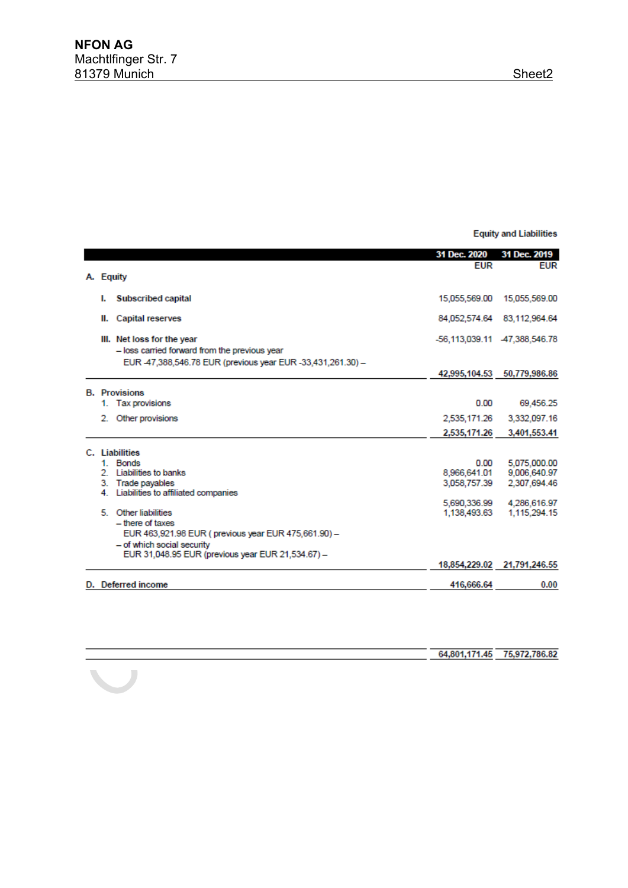**Equity and Liabilities** 

|    |                                                                                                                                           | 31 Dec. 2020                 | 31 Dec. 2019                 |
|----|-------------------------------------------------------------------------------------------------------------------------------------------|------------------------------|------------------------------|
|    |                                                                                                                                           | EUR                          | <b>EUR</b>                   |
|    | A. Equity                                                                                                                                 |                              |                              |
| ь. | <b>Subscribed capital</b>                                                                                                                 | 15,055,569.00                | 15,055,569.00                |
| Ш. | <b>Capital reserves</b>                                                                                                                   | 84.052.574.64                | 83,112,964.64                |
|    | III. Net loss for the year<br>- loss carried forward from the previous year<br>EUR 47,388,546.78 EUR (previous year EUR -33,431,261.30) - |                              | -56,113,039.11 47,388,546.78 |
|    |                                                                                                                                           |                              | 42,995,104.53 50,779,986.86  |
|    |                                                                                                                                           |                              |                              |
|    | <b>B.</b> Provisions                                                                                                                      |                              |                              |
|    | 1. Tax provisions                                                                                                                         | 0.00                         | 69.456.25                    |
| 2. | Other provisions                                                                                                                          | 2,535,171.26                 | 3,332,097.16                 |
|    |                                                                                                                                           | 2,535,171.26                 | 3,401,553.41                 |
|    |                                                                                                                                           |                              |                              |
|    | <b>Liabilities</b>                                                                                                                        |                              |                              |
|    | 1 Bonds                                                                                                                                   | 0.00                         | 5.075.000.00                 |
|    | 2 Liabilities to banks                                                                                                                    | 8,966,641.01                 | 9,006,640.97                 |
|    | 3. Trade payables                                                                                                                         | 3,058,757.39                 | 2,307,694.46                 |
|    | 4. Liabilities to affiliated companies                                                                                                    |                              |                              |
|    | 5 Other liabilities                                                                                                                       | 5,690,336.99<br>1.138.493.63 | 4,286,616.97<br>1.115.294.15 |
|    | - there of taxes                                                                                                                          |                              |                              |
|    | EUR 463,921.98 EUR (previous year EUR 475,661.90) -                                                                                       |                              |                              |
|    | - of which social security                                                                                                                |                              |                              |
|    | EUR 31,048.95 EUR (previous year EUR 21,534.67) -                                                                                         |                              |                              |
|    |                                                                                                                                           |                              | 18,854,229.02 21,791,246.55  |
|    |                                                                                                                                           |                              |                              |
|    | D. Deferred income                                                                                                                        | 416,666.64                   | 0.00                         |
|    |                                                                                                                                           |                              |                              |

|  | 64,801,171.45 75,972,786.82 |
|--|-----------------------------|
|  |                             |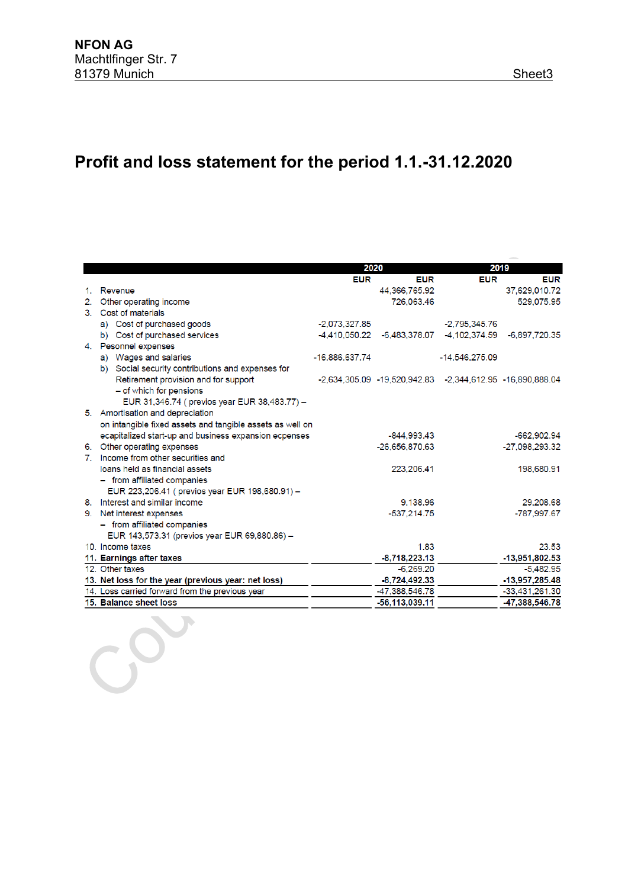## **Profit and loss statement for the period 1.1.-31.12.2020**

|    |                                                           | 2020            |                                                           |                  | 2019             |  |
|----|-----------------------------------------------------------|-----------------|-----------------------------------------------------------|------------------|------------------|--|
|    |                                                           | <b>EUR</b>      | <b>EUR</b>                                                | <b>EUR</b>       | <b>EUR</b>       |  |
| 1. | Revenue                                                   |                 | 44,366,765.92                                             |                  | 37,629,010.72    |  |
|    | 2. Other operating income                                 |                 | 726,063.46                                                |                  | 529,075.95       |  |
|    | 3. Cost of materials                                      |                 |                                                           |                  |                  |  |
|    | a) Cost of purchased goods                                | $-2.073.327.85$ |                                                           | $-2.795.345.76$  |                  |  |
|    | b) Cost of purchased services                             | -4.410.050.22   | $-6,483,378.07$                                           | -4,102,374.59    | -6,897,720.35    |  |
|    | 4. Pesonnel expenses                                      |                 |                                                           |                  |                  |  |
|    | a) Wages and salaries                                     | -16,886,637.74  |                                                           | $-14.546.275.09$ |                  |  |
|    | b) Social security contributions and expenses for         |                 |                                                           |                  |                  |  |
|    | Retirement provision and for support                      |                 | -2,634,305.09 -19,520,942.83 -2,344,612.95 -16,890,888.04 |                  |                  |  |
|    | - of which for pensions                                   |                 |                                                           |                  |                  |  |
|    | EUR 31,346.74 ( previos year EUR 38,483.77) -             |                 |                                                           |                  |                  |  |
|    | 5. Amortisation and depreciation                          |                 |                                                           |                  |                  |  |
|    | on intangible fixed assets and tangible assets as well on |                 |                                                           |                  |                  |  |
|    | ecapitalized start-up and business expansion ecpenses     |                 | -844.993.43                                               |                  | -662,902.94      |  |
|    | 6. Other operating expenses                               |                 | -26,656,870.63                                            |                  | $-27,098,293.32$ |  |
|    | 7. Income from other securities and                       |                 |                                                           |                  |                  |  |
|    | loans held as financial assets                            |                 | 223,206.41                                                |                  | 198,680.91       |  |
|    | - from affiliated companies                               |                 |                                                           |                  |                  |  |
|    | EUR 223,206.41 ( previos year EUR 198,680.91) -           |                 |                                                           |                  |                  |  |
|    | 8. Interest and similar income                            |                 | 9,138.96                                                  |                  | 29,208.68        |  |
|    | 9. Net interest expenses                                  |                 | $-537,214.75$                                             |                  | -787,997.67      |  |
|    | - from affiliated companies                               |                 |                                                           |                  |                  |  |
|    | EUR 143,573.31 (previos year EUR 69,880.86) -             |                 |                                                           |                  |                  |  |
|    | 10. Income taxes                                          |                 | 1.83                                                      |                  | 23.53            |  |
|    | 11. Earnings after taxes                                  |                 | $-8,718,223.13$                                           |                  | -13,951,802.53   |  |
|    | 12. Other taxes                                           |                 | $-6,269.20$                                               |                  | $-5,482.95$      |  |
|    | 13. Net loss for the year (previous year: net loss)       |                 | $-8,724,492.33$                                           |                  | $-13,957,285.48$ |  |
|    | 14. Loss carried forward from the previous year           |                 | -47,388,546.78                                            |                  | -33,431,261.30   |  |
|    | 15. Balance sheet loss                                    |                 | -56,113,039.11                                            |                  | -47,388,546.78   |  |
|    |                                                           |                 |                                                           |                  |                  |  |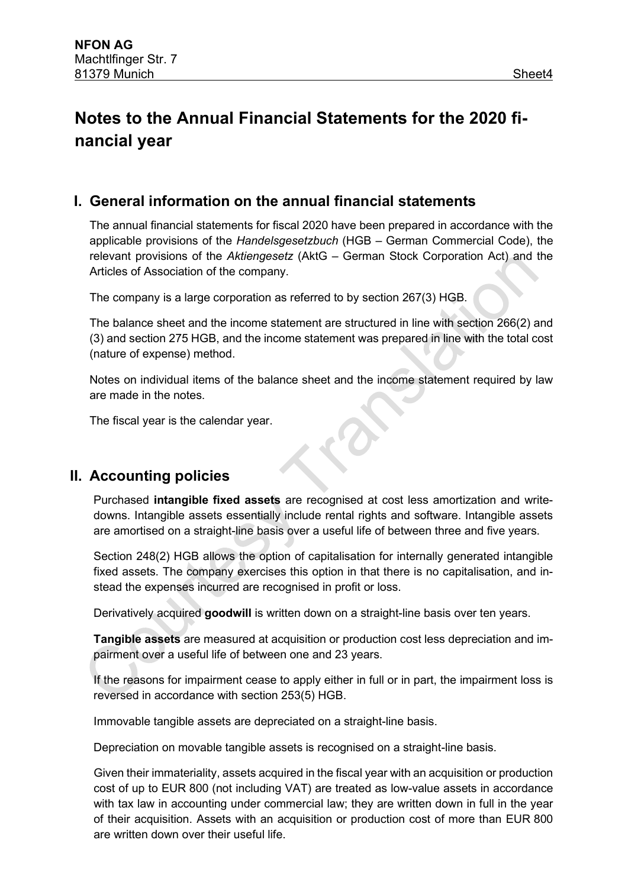## **Notes to the Annual Financial Statements for the 2020 financial year**

#### **I. General information on the annual financial statements**

The annual financial statements for fiscal 2020 have been prepared in accordance with the applicable provisions of the *Handelsgesetzbuch* (HGB – German Commercial Code), the relevant provisions of the *Aktiengesetz* (AktG – German Stock Corporation Act) and the Articles of Association of the company.

The company is a large corporation as referred to by section 267(3) HGB.

The balance sheet and the income statement are structured in line with section 266(2) and (3) and section 275 HGB, and the income statement was prepared in line with the total cost (nature of expense) method.

Notes on individual items of the balance sheet and the income statement required by law are made in the notes.

The fiscal year is the calendar year.

### **II. Accounting policies**

Purchased **intangible fixed assets** are recognised at cost less amortization and writedowns. Intangible assets essentially include rental rights and software. Intangible assets are amortised on a straight-line basis over a useful life of between three and five years.

Section 248(2) HGB allows the option of capitalisation for internally generated intangible fixed assets. The company exercises this option in that there is no capitalisation, and instead the expenses incurred are recognised in profit or loss.

Derivatively acquired **goodwill** is written down on a straight-line basis over ten years.

**Tangible assets** are measured at acquisition or production cost less depreciation and impairment over a useful life of between one and 23 years.

If the reasons for impairment cease to apply either in full or in part, the impairment loss is reversed in accordance with section 253(5) HGB.

Immovable tangible assets are depreciated on a straight-line basis.

Depreciation on movable tangible assets is recognised on a straight-line basis.

Given their immateriality, assets acquired in the fiscal year with an acquisition or production cost of up to EUR 800 (not including VAT) are treated as low-value assets in accordance with tax law in accounting under commercial law; they are written down in full in the year of their acquisition. Assets with an acquisition or production cost of more than EUR 800 are written down over their useful life.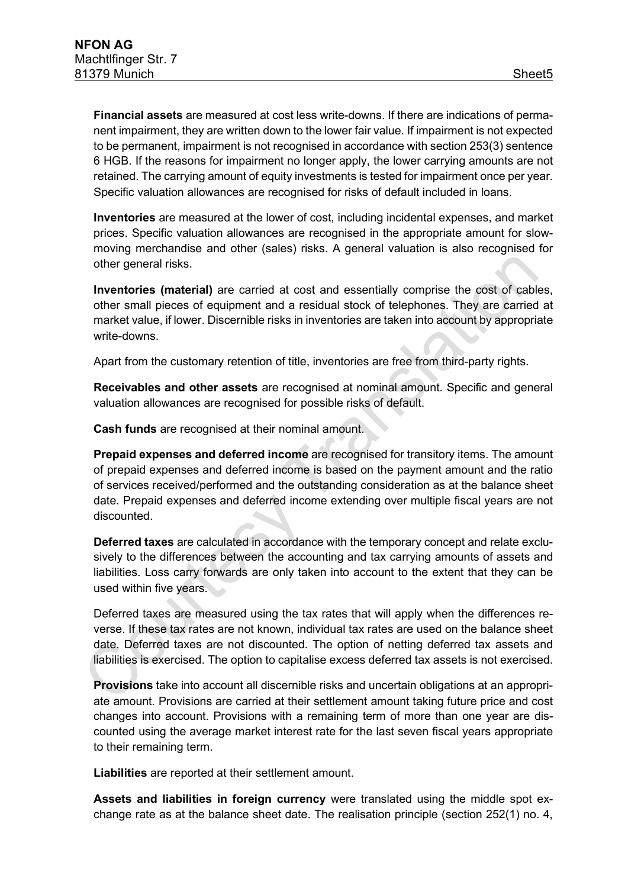**Financial assets** are measured at cost less write-downs. If there are indications of permanent impairment, they are written down to the lower fair value. If impairment is not expected to be permanent, impairment is not recognised in accordance with section 253(3) sentence 6 HGB. If the reasons for impairment no longer apply, the lower carrying amounts are not retained. The carrying amount of equity investments is tested for impairment once per year. Specific valuation allowances are recognised for risks of default included in loans.

**Inventories** are measured at the lower of cost, including incidental expenses, and market prices. Specific valuation allowances are recognised in the appropriate amount for slowmoving merchandise and other (sales) risks. A general valuation is also recognised for other general risks.

**Inventories (material)** are carried at cost and essentially comprise the cost of cables, other small pieces of equipment and a residual stock of telephones. They are carried at market value, if lower. Discernible risks in inventories are taken into account by appropriate write-downs.

Apart from the customary retention of title, inventories are free from third-party rights.

**Receivables and other assets** are recognised at nominal amount. Specific and general valuation allowances are recognised for possible risks of default.

**Cash funds** are recognised at their nominal amount.

**Prepaid expenses and deferred income** are recognised for transitory items. The amount of prepaid expenses and deferred income is based on the payment amount and the ratio of services received/performed and the outstanding consideration as at the balance sheet date. Prepaid expenses and deferred income extending over multiple fiscal years are not discounted.

**Deferred taxes** are calculated in accordance with the temporary concept and relate exclusively to the differences between the accounting and tax carrying amounts of assets and liabilities. Loss carry forwards are only taken into account to the extent that they can be used within five years.

Deferred taxes are measured using the tax rates that will apply when the differences reverse. If these tax rates are not known, individual tax rates are used on the balance sheet date. Deferred taxes are not discounted. The option of netting deferred tax assets and liabilities is exercised. The option to capitalise excess deferred tax assets is not exercised.

**Provisions** take into account all discernible risks and uncertain obligations at an appropriate amount. Provisions are carried at their settlement amount taking future price and cost changes into account. Provisions with a remaining term of more than one year are discounted using the average market interest rate for the last seven fiscal years appropriate to their remaining term.

**Liabilities** are reported at their settlement amount.

**Assets and liabilities in foreign currency** were translated using the middle spot exchange rate as at the balance sheet date. The realisation principle (section 252(1) no. 4,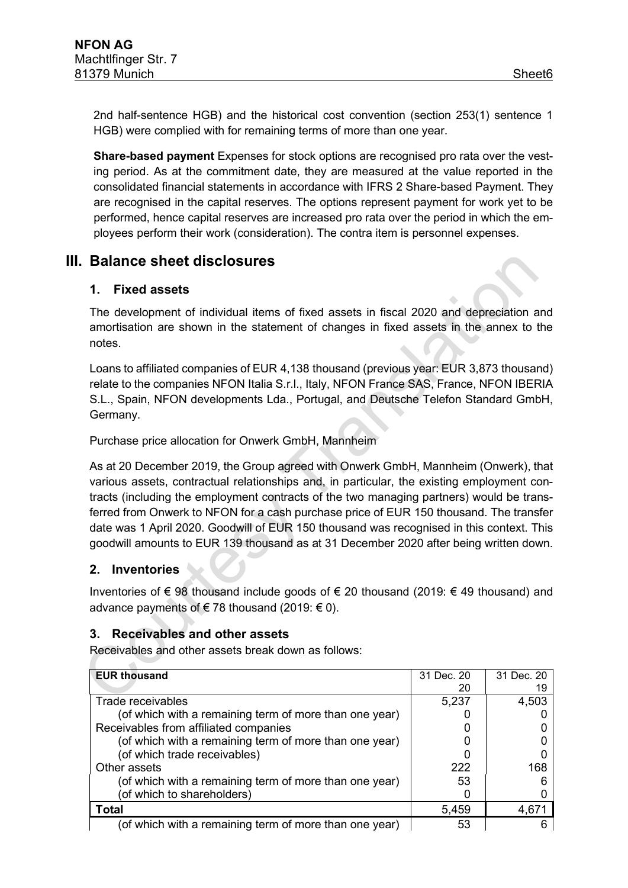2nd half-sentence HGB) and the historical cost convention (section 253(1) sentence 1 HGB) were complied with for remaining terms of more than one year.

**Share-based payment** Expenses for stock options are recognised pro rata over the vesting period. As at the commitment date, they are measured at the value reported in the consolidated financial statements in accordance with IFRS 2 Share-based Payment. They are recognised in the capital reserves. The options represent payment for work yet to be performed, hence capital reserves are increased pro rata over the period in which the employees perform their work (consideration). The contra item is personnel expenses.

### **III. Balance sheet disclosures**

#### **1. Fixed assets**

The development of individual items of fixed assets in fiscal 2020 and depreciation and amortisation are shown in the statement of changes in fixed assets in the annex to the notes.

Loans to affiliated companies of EUR 4,138 thousand (previous year: EUR 3,873 thousand) relate to the companies NFON Italia S.r.l., Italy, NFON France SAS, France, NFON IBERIA S.L., Spain, NFON developments Lda., Portugal, and Deutsche Telefon Standard GmbH, Germany.

Purchase price allocation for Onwerk GmbH, Mannheim

As at 20 December 2019, the Group agreed with Onwerk GmbH, Mannheim (Onwerk), that various assets, contractual relationships and, in particular, the existing employment contracts (including the employment contracts of the two managing partners) would be transferred from Onwerk to NFON for a cash purchase price of EUR 150 thousand. The transfer date was 1 April 2020. Goodwill of EUR 150 thousand was recognised in this context. This goodwill amounts to EUR 139 thousand as at 31 December 2020 after being written down.

#### **2. Inventories**

 $\sim$ 

Inventories of  $\epsilon$  98 thousand include goods of  $\epsilon$  20 thousand (2019:  $\epsilon$  49 thousand) and advance payments of €78 thousand (2019:  $€$  0).

#### **3. Receivables and other assets**

Receivables and other assets break down as follows:

| <b>EUR thousand</b>                                    | 31 Dec. 20 | 31 Dec. 20 |
|--------------------------------------------------------|------------|------------|
|                                                        | 20         |            |
| Trade receivables                                      | 5,237      | 4,503      |
| (of which with a remaining term of more than one year) |            |            |
| Receivables from affiliated companies                  |            |            |
| (of which with a remaining term of more than one year) |            |            |
| (of which trade receivables)                           |            |            |
| Other assets                                           | 222        | 168        |
| (of which with a remaining term of more than one year) | 53         |            |
| (of which to shareholders)                             |            |            |
| <b>Total</b>                                           | 5,459      |            |
| (of which with a remaining term of more than one year) | 53         |            |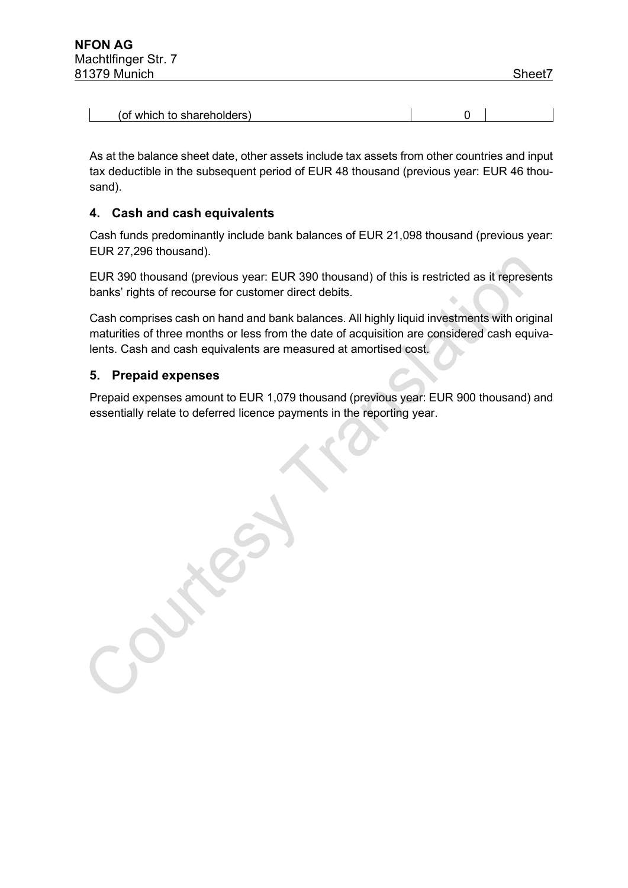$\mathsf{I}$ 

| (of which to shareholders) |  |  |
|----------------------------|--|--|
|----------------------------|--|--|

As at the balance sheet date, other assets include tax assets from other countries and input tax deductible in the subsequent period of EUR 48 thousand (previous year: EUR 46 thousand).

#### **4. Cash and cash equivalents**

Cash funds predominantly include bank balances of EUR 21,098 thousand (previous year: EUR 27,296 thousand).

EUR 390 thousand (previous year: EUR 390 thousand) of this is restricted as it represents banks' rights of recourse for customer direct debits.

Cash comprises cash on hand and bank balances. All highly liquid investments with original maturities of three months or less from the date of acquisition are considered cash equivalents. Cash and cash equivalents are measured at amortised cost.

#### **5. Prepaid expenses**

Prepaid expenses amount to EUR 1,079 thousand (previous year: EUR 900 thousand) and essentially relate to deferred licence payments in the reporting year.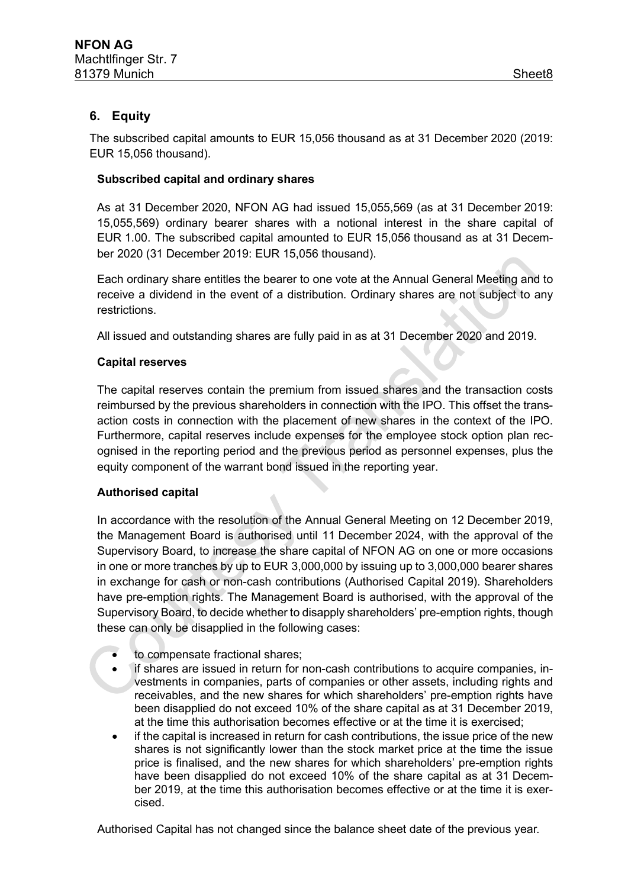#### **6. Equity**

The subscribed capital amounts to EUR 15,056 thousand as at 31 December 2020 (2019: EUR 15,056 thousand).

#### **Subscribed capital and ordinary shares**

As at 31 December 2020, NFON AG had issued 15,055,569 (as at 31 December 2019: 15,055,569) ordinary bearer shares with a notional interest in the share capital of EUR 1.00. The subscribed capital amounted to EUR 15,056 thousand as at 31 December 2020 (31 December 2019: EUR 15,056 thousand).

Each ordinary share entitles the bearer to one vote at the Annual General Meeting and to receive a dividend in the event of a distribution. Ordinary shares are not subject to any restrictions.

All issued and outstanding shares are fully paid in as at 31 December 2020 and 2019.

#### **Capital reserves**

The capital reserves contain the premium from issued shares and the transaction costs reimbursed by the previous shareholders in connection with the IPO. This offset the transaction costs in connection with the placement of new shares in the context of the IPO. Furthermore, capital reserves include expenses for the employee stock option plan recognised in the reporting period and the previous period as personnel expenses, plus the equity component of the warrant bond issued in the reporting year.

#### **Authorised capital**

In accordance with the resolution of the Annual General Meeting on 12 December 2019, the Management Board is authorised until 11 December 2024, with the approval of the Supervisory Board, to increase the share capital of NFON AG on one or more occasions in one or more tranches by up to EUR 3,000,000 by issuing up to 3,000,000 bearer shares in exchange for cash or non-cash contributions (Authorised Capital 2019). Shareholders have pre-emption rights. The Management Board is authorised, with the approval of the Supervisory Board, to decide whether to disapply shareholders' pre-emption rights, though these can only be disapplied in the following cases:

- to compensate fractional shares;
- if shares are issued in return for non-cash contributions to acquire companies, investments in companies, parts of companies or other assets, including rights and receivables, and the new shares for which shareholders' pre-emption rights have been disapplied do not exceed 10% of the share capital as at 31 December 2019, at the time this authorisation becomes effective or at the time it is exercised;
- if the capital is increased in return for cash contributions, the issue price of the new shares is not significantly lower than the stock market price at the time the issue price is finalised, and the new shares for which shareholders' pre-emption rights have been disapplied do not exceed 10% of the share capital as at 31 December 2019, at the time this authorisation becomes effective or at the time it is exercised.

Authorised Capital has not changed since the balance sheet date of the previous year.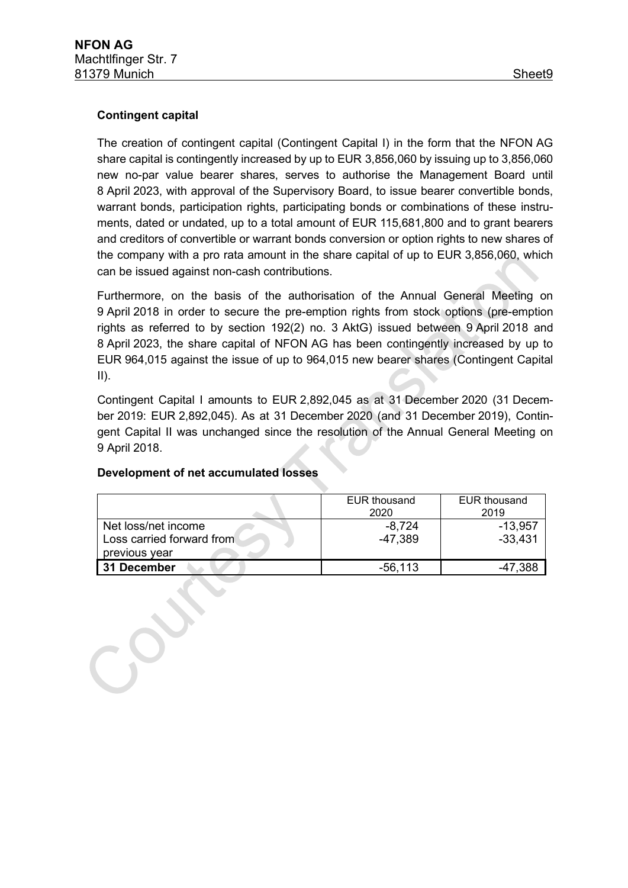#### **Contingent capital**

The creation of contingent capital (Contingent Capital I) in the form that the NFON AG share capital is contingently increased by up to EUR 3,856,060 by issuing up to 3,856,060 new no-par value bearer shares, serves to authorise the Management Board until 8 April 2023, with approval of the Supervisory Board, to issue bearer convertible bonds, warrant bonds, participation rights, participating bonds or combinations of these instruments, dated or undated, up to a total amount of EUR 115,681,800 and to grant bearers and creditors of convertible or warrant bonds conversion or option rights to new shares of the company with a pro rata amount in the share capital of up to EUR 3,856,060, which can be issued against non-cash contributions.

Furthermore, on the basis of the authorisation of the Annual General Meeting on 9 April 2018 in order to secure the pre-emption rights from stock options (pre-emption rights as referred to by section 192(2) no. 3 AktG) issued between 9 April 2018 and 8 April 2023, the share capital of NFON AG has been contingently increased by up to EUR 964,015 against the issue of up to 964,015 new bearer shares (Contingent Capital  $II$ ).

Contingent Capital I amounts to EUR 2,892,045 as at 31 December 2020 (31 December 2019: EUR 2,892,045). As at 31 December 2020 (and 31 December 2019), Contingent Capital II was unchanged since the resolution of the Annual General Meeting on 9 April 2018.

|                                                                   | <b>EUR thousand</b><br>2020 | <b>EUR thousand</b><br>2019 |
|-------------------------------------------------------------------|-----------------------------|-----------------------------|
| Net loss/net income<br>Loss carried forward from<br>previous year | -8,724<br>-47.389           | $-13,957$<br>$-33,431$      |
| 31 December                                                       | $-56, 113$                  | -47.388                     |

#### **Development of net accumulated losses**

 $-9y$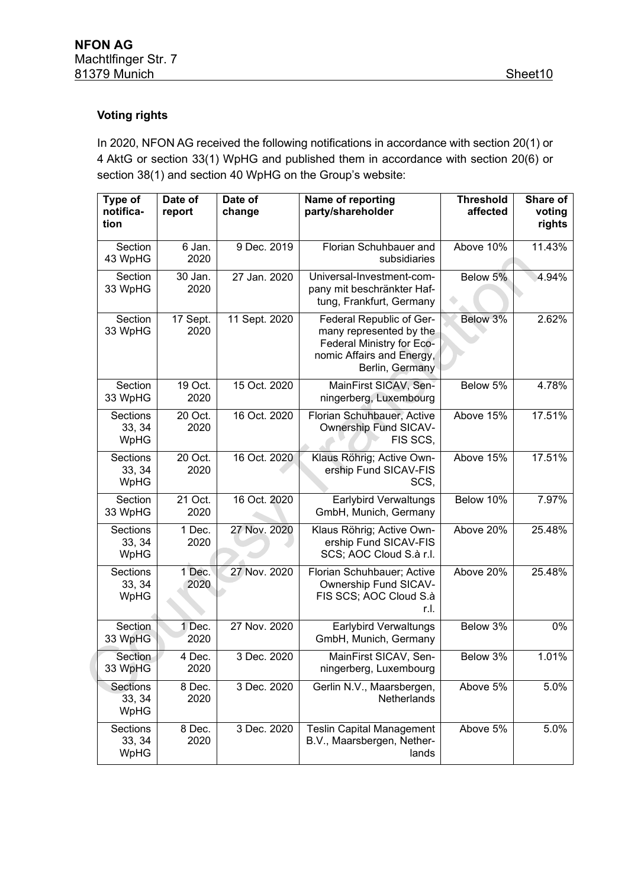#### **Voting rights**

In 2020, NFON AG received the following notifications in accordance with section 20(1) or 4 AktG or section 33(1) WpHG and published them in accordance with section 20(6) or section 38(1) and section 40 WpHG on the Group's website:

| Type of<br>notifica-<br>tion      | Date of<br>report | Date of<br>change | Name of reporting<br>party/shareholder                                                                                           | <b>Threshold</b><br>affected | Share of<br>voting<br>rights |
|-----------------------------------|-------------------|-------------------|----------------------------------------------------------------------------------------------------------------------------------|------------------------------|------------------------------|
| Section<br>43 WpHG                | 6 Jan.<br>2020    | 9 Dec. 2019       | Florian Schuhbauer and<br>subsidiaries                                                                                           | Above 10%                    | 11.43%                       |
| Section<br>33 WpHG                | 30 Jan.<br>2020   | 27 Jan. 2020      | Universal-Investment-com-<br>pany mit beschränkter Haf-<br>tung, Frankfurt, Germany                                              | Below 5%                     | 4.94%                        |
| Section<br>33 WpHG                | 17 Sept.<br>2020  | 11 Sept. 2020     | Federal Republic of Ger-<br>many represented by the<br>Federal Ministry for Eco-<br>nomic Affairs and Energy,<br>Berlin, Germany | Below 3%                     | 2.62%                        |
| Section<br>33 WpHG                | 19 Oct.<br>2020   | 15 Oct. 2020      | MainFirst SICAV, Sen-<br>ningerberg, Luxembourg                                                                                  | Below 5%                     | 4.78%                        |
| Sections<br>33, 34<br>WpHG        | 20 Oct.<br>2020   | 16 Oct. 2020      | Florian Schuhbauer, Active<br><b>Ownership Fund SICAV-</b><br>FIS SCS,                                                           | Above 15%                    | 17.51%                       |
| <b>Sections</b><br>33, 34<br>WpHG | 20 Oct.<br>2020   | 16 Oct. 2020      | Klaus Röhrig; Active Own-<br>ership Fund SICAV-FIS<br>SCS,                                                                       | Above 15%                    | 17.51%                       |
| Section<br>33 WpHG                | 21 Oct.<br>2020   | 16 Oct. 2020      | <b>Earlybird Verwaltungs</b><br>GmbH, Munich, Germany                                                                            | Below 10%                    | 7.97%                        |
| Sections<br>33, 34<br>WpHG        | 1 Dec.<br>2020    | 27 Nov. 2020      | Klaus Röhrig; Active Own-<br>ership Fund SICAV-FIS<br>SCS; AOC Cloud S.à r.l.                                                    | Above 20%                    | 25.48%                       |
| Sections<br>33, 34<br>WpHG        | 1 Dec.<br>2020    | 27 Nov. 2020      | Florian Schuhbauer; Active<br>Ownership Fund SICAV-<br>FIS SCS; AOC Cloud S.à<br>r.l.                                            | Above 20%                    | 25.48%                       |
| Section<br>33 WpHG                | 1 Dec.<br>2020    | 27 Nov. 2020      | <b>Earlybird Verwaltungs</b><br>GmbH, Munich, Germany                                                                            | Below 3%                     | $0\%$                        |
| Section<br>33 WpHG                | 4 Dec.<br>2020    | 3 Dec. 2020       | MainFirst SICAV, Sen-<br>ningerberg, Luxembourg                                                                                  | Below 3%                     | 1.01%                        |
| <b>Sections</b><br>33, 34<br>WpHG | 8 Dec.<br>2020    | 3 Dec. 2020       | Gerlin N.V., Maarsbergen,<br><b>Netherlands</b>                                                                                  | Above 5%                     | 5.0%                         |
| Sections<br>33, 34<br>WpHG        | 8 Dec.<br>2020    | 3 Dec. 2020       | <b>Teslin Capital Management</b><br>B.V., Maarsbergen, Nether-<br>lands                                                          | Above 5%                     | 5.0%                         |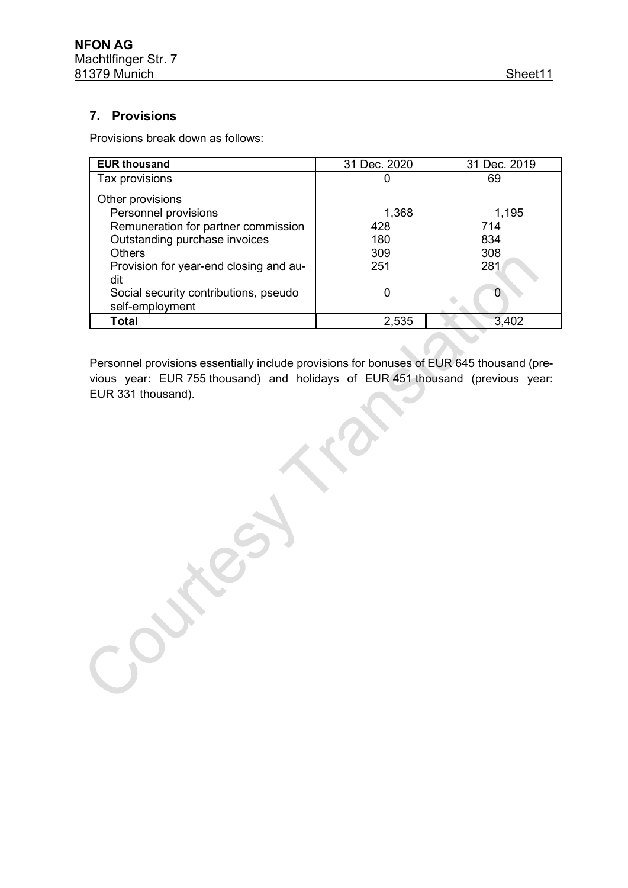#### **7. Provisions**

Provisions break down as follows:

| <b>EUR thousand</b>                                      | 31 Dec. 2020 | 31 Dec. 2019 |
|----------------------------------------------------------|--------------|--------------|
| Tax provisions                                           | U            | 69           |
| Other provisions                                         |              |              |
| Personnel provisions                                     | 1,368        | 1,195        |
| Remuneration for partner commission                      | 428          | 714          |
| Outstanding purchase invoices                            | 180          | 834          |
| <b>Others</b>                                            | 309          | 308          |
| Provision for year-end closing and au-<br>dit            | 251          | 281          |
| Social security contributions, pseudo<br>self-employment | 0            | O            |
| Total                                                    | 2,535        | 3,402        |

Personnel provisions essentially include provisions for bonuses of EUR 645 thousand (previous year: EUR 755 thousand) and holidays of EUR 451 thousand (previous year: EUR 331 thousand).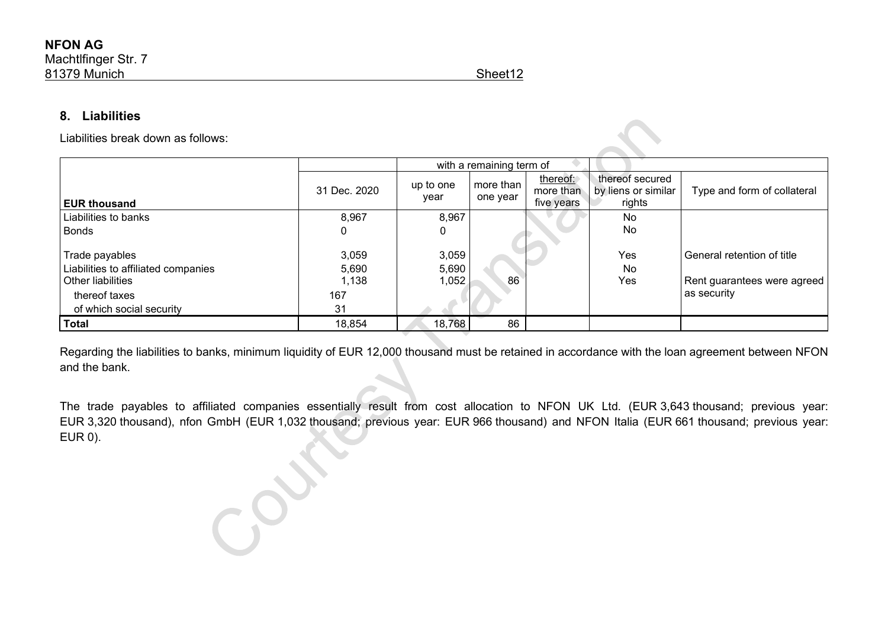#### **8. Liabilities**

Liabilities break down as follows:

|                                                                                                                                |                                      | with a remaining term of |                       |                                     |                                                  |                                                                          |
|--------------------------------------------------------------------------------------------------------------------------------|--------------------------------------|--------------------------|-----------------------|-------------------------------------|--------------------------------------------------|--------------------------------------------------------------------------|
| <b>EUR thousand</b>                                                                                                            | 31 Dec. 2020                         | up to one<br>year        | more than<br>one year | thereof:<br>more than<br>five years | thereof secured<br>by liens or similar<br>rights | Type and form of collateral                                              |
| Liabilities to banks                                                                                                           | 8,967                                | 8,967                    |                       |                                     | No                                               |                                                                          |
| <b>Bonds</b>                                                                                                                   | 0                                    | 0                        |                       |                                     | No                                               |                                                                          |
| Trade payables<br>Liabilities to affiliated companies<br><b>Other liabilities</b><br>thereof taxes<br>of which social security | 3,059<br>5,690<br>1,138<br>167<br>31 | 3,059<br>5,690<br>1,052  | 86                    |                                     | Yes<br>No<br>Yes                                 | General retention of title<br>Rent guarantees were agreed<br>as security |
| Total                                                                                                                          | 18,854                               | 18,768                   | 86                    |                                     |                                                  |                                                                          |

Regarding the liabilities to banks, minimum liquidity of EUR 12,000 thousand must be retained in accordance with the loan agreement between NFON and the bank.

The trade payables to affiliated companies essentially result from cost allocation to NFON UK Ltd. (EUR 3,643 thousand; previous year: EUR 3,320 thousand), nfon GmbH (EUR 1,032 thousand; previous year: EUR 966 thousand) and NFON Italia (EUR 661 thousand; previous year: EUR 0).

CPOST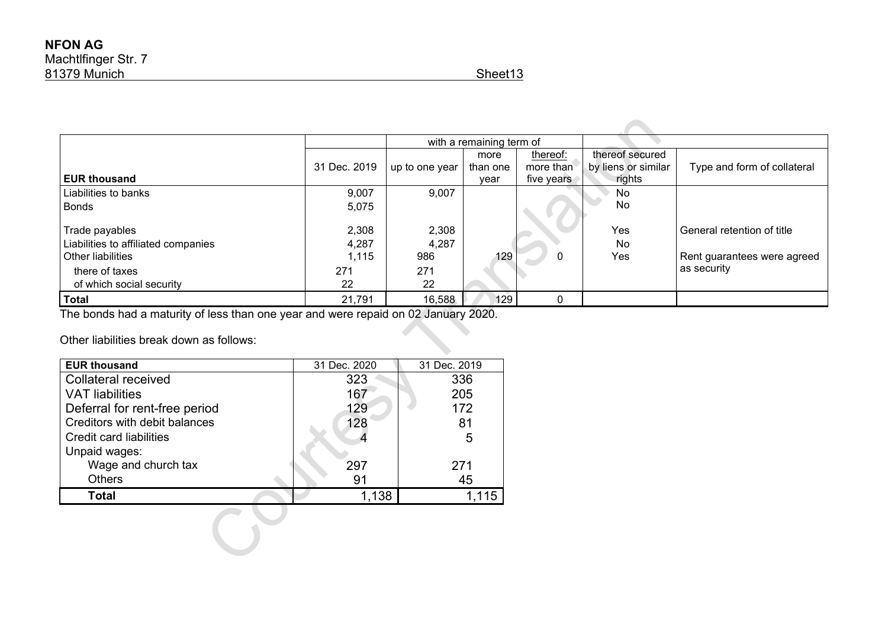|                                     |              | with a remaining term of |          |              |                     |                              |
|-------------------------------------|--------------|--------------------------|----------|--------------|---------------------|------------------------------|
|                                     |              |                          | more     | thereof:     | thereof secured     |                              |
|                                     | 31 Dec. 2019 | up to one year           | than one | more than    | by liens or similar | Type and form of collateral  |
| <b>EUR thousand</b>                 |              |                          | year     | five years   | rights              |                              |
| Liabilities to banks                | 9,007        | 9,007                    |          |              | No                  |                              |
| <b>Bonds</b>                        | 5,075        |                          |          |              | No                  |                              |
|                                     |              |                          |          |              |                     |                              |
| Trade payables                      | 2,308        | 2,308                    |          |              | Yes                 | l General retention of title |
| Liabilities to affiliated companies | 4,287        | 4,287                    |          |              | No                  |                              |
| <b>Other liabilities</b>            | 1,115        | 986                      | 129      | 0            | Yes                 | Rent guarantees were agreed  |
| there of taxes                      | 271          | 271                      |          |              |                     | l as security                |
| of which social security            | 22           | 22                       |          |              |                     |                              |
| <b>Total</b>                        | 21,791       | 16,588                   | 129      | $\mathbf{0}$ |                     |                              |

The bonds had a maturity of less than one year and were repaid on 02 January 2020.

Other liabilities break down as follows:

| <b>EUR thousand</b>           | 31 Dec. 2020 | 31 Dec. 2019 |
|-------------------------------|--------------|--------------|
| <b>Collateral received</b>    | 323          | 336          |
| <b>VAT liabilities</b>        | 167          | 205          |
| Deferral for rent-free period | 129          | 172          |
| Creditors with debit balances | 128          | 81           |
| Credit card liabilities       |              | 5            |
| Unpaid wages:                 |              |              |
| Wage and church tax           | 297          | 271          |
| <b>Others</b>                 | 91           | 45           |
| <b>Total</b>                  | 1,138        |              |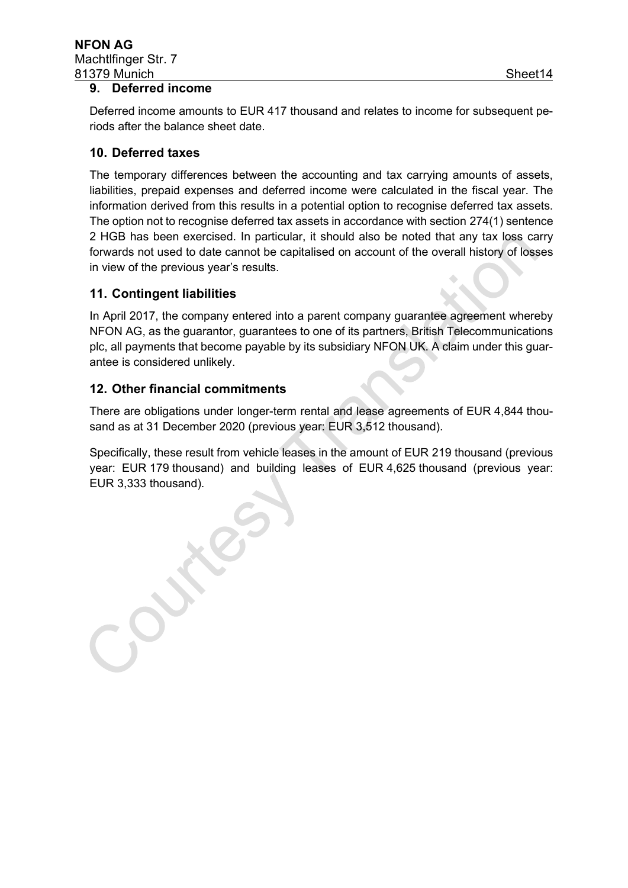#### **9. Deferred income**

Deferred income amounts to EUR 417 thousand and relates to income for subsequent periods after the balance sheet date.

#### **10. Deferred taxes**

The temporary differences between the accounting and tax carrying amounts of assets, liabilities, prepaid expenses and deferred income were calculated in the fiscal year. The information derived from this results in a potential option to recognise deferred tax assets. The option not to recognise deferred tax assets in accordance with section 274(1) sentence 2 HGB has been exercised. In particular, it should also be noted that any tax loss carry forwards not used to date cannot be capitalised on account of the overall history of losses in view of the previous year's results.

#### **11. Contingent liabilities**

In April 2017, the company entered into a parent company guarantee agreement whereby NFON AG, as the guarantor, guarantees to one of its partners, British Telecommunications plc, all payments that become payable by its subsidiary NFON UK. A claim under this guarantee is considered unlikely.

#### **12. Other financial commitments**

There are obligations under longer-term rental and lease agreements of EUR 4,844 thousand as at 31 December 2020 (previous year: EUR 3,512 thousand).

Specifically, these result from vehicle leases in the amount of EUR 219 thousand (previous year: EUR 179 thousand) and building leases of EUR 4,625 thousand (previous year: EUR 3,333 thousand).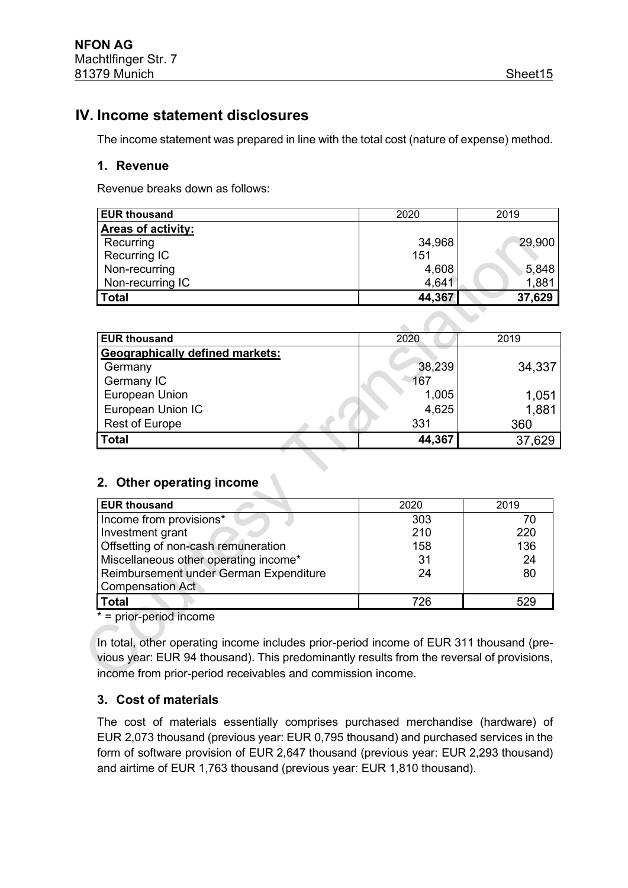### **IV. Income statement disclosures**

The income statement was prepared in line with the total cost (nature of expense) method.

#### **1. Revenue**

Revenue breaks down as follows:

| <b>EUR thousand</b>       | 2020   | 2019           |
|---------------------------|--------|----------------|
| <b>Areas of activity:</b> |        |                |
| Recurring                 | 34,968 | 29,900         |
| <b>Recurring IC</b>       | 151    |                |
| Non-recurring             | 4,608  |                |
| Non-recurring IC          | 4,641  | 5,848<br>1,881 |
| Total                     | 44,367 | 37,629         |
|                           |        |                |

| <b>EUR thousand</b>                    | 2020   | 2019   |
|----------------------------------------|--------|--------|
| <b>Geographically defined markets:</b> |        |        |
| Germany                                | 38,239 | 34,337 |
| Germany IC                             | 167    |        |
| European Union                         | 1,005  | 1,051  |
| European Union IC                      | 4,625  | 1,881  |
| <b>Rest of Europe</b>                  | 331    | 360    |
| <b>Total</b>                           | 44,367 | 37,629 |

#### **2. Other operating income**

| <b>EUR thousand</b>                    | 2020 | 2019 |
|----------------------------------------|------|------|
| Income from provisions*                | 303  | 70   |
| Investment grant                       | 210  | 220  |
| Offsetting of non-cash remuneration    | 158  | 136  |
| Miscellaneous other operating income*  | 31   | 24   |
| Reimbursement under German Expenditure | 24   | 80   |
| <b>Compensation Act</b>                |      |      |
| <b>Total</b>                           | 726  | 529  |

 $* =$  prior-period income

In total, other operating income includes prior-period income of EUR 311 thousand (previous year: EUR 94 thousand). This predominantly results from the reversal of provisions, income from prior-period receivables and commission income.

#### **3. Cost of materials**

The cost of materials essentially comprises purchased merchandise (hardware) of EUR 2,073 thousand (previous year: EUR 0,795 thousand) and purchased services in the form of software provision of EUR 2,647 thousand (previous year: EUR 2,293 thousand) and airtime of EUR 1,763 thousand (previous year: EUR 1,810 thousand).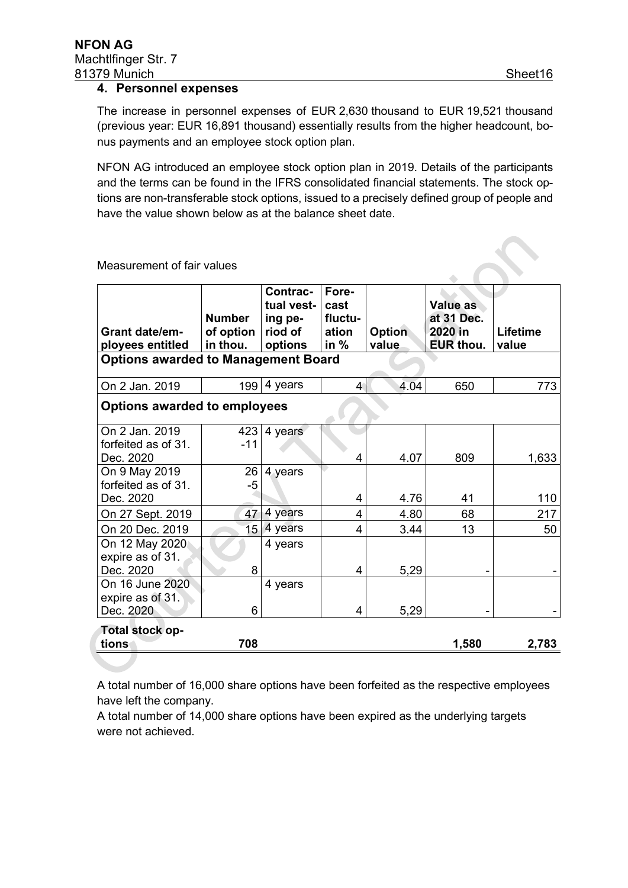#### **4. Personnel expenses**

The increase in personnel expenses of EUR 2,630 thousand to EUR 19,521 thousand (previous year: EUR 16,891 thousand) essentially results from the higher headcount, bonus payments and an employee stock option plan.

NFON AG introduced an employee stock option plan in 2019. Details of the participants and the terms can be found in the IFRS consolidated financial statements. The stock options are non-transferable stock options, issued to a precisely defined group of people and have the value shown below as at the balance sheet date.

|                                            |                            | Contrac-<br>tual vest- | Fore-<br>cast    |               | <b>Value as</b>       |                 |
|--------------------------------------------|----------------------------|------------------------|------------------|---------------|-----------------------|-----------------|
| <b>Grant date/em-</b>                      | <b>Number</b><br>of option | ing pe-<br>riod of     | fluctu-<br>ation | <b>Option</b> | at 31 Dec.<br>2020 in | <b>Lifetime</b> |
| ployees entitled                           | in thou.                   | options                | in $%$           | value         | EUR thou.             | value           |
| <b>Options awarded to Management Board</b> |                            |                        |                  |               |                       |                 |
| On 2 Jan. 2019                             | 199                        | 4 years                | $\overline{4}$   | 4.04          | 650                   | 773             |
| <b>Options awarded to employees</b>        |                            |                        |                  |               |                       |                 |
| On 2 Jan. 2019<br>forfeited as of 31.      | 423<br>$-11$               | 4 years                |                  |               |                       |                 |
| Dec. 2020                                  |                            |                        | 4                | 4.07          | 809                   | 1,633           |
| On 9 May 2019<br>forfeited as of 31.       | 26<br>$-5$                 | 4 years                |                  |               |                       |                 |
| Dec. 2020                                  |                            |                        | 4                | 4.76          | 41                    | 110             |
| On 27 Sept. 2019                           | 47                         | 4 years                | 4                | 4.80          | 68                    | 217             |
| On 20 Dec. 2019                            | 15 <sub>1</sub>            | 4 years                | 4                | 3.44          | 13                    | 50              |
| On 12 May 2020<br>expire as of 31.         |                            | 4 years                |                  |               |                       |                 |
| Dec. 2020<br>On 16 June 2020               | 8                          |                        | 4                | 5,29          |                       |                 |
| expire as of 31.                           |                            | 4 years                |                  |               |                       |                 |
| Dec. 2020                                  | 6                          |                        | 4                | 5,29          |                       |                 |
| Total stock op-                            |                            |                        |                  |               |                       |                 |
| tions                                      | 708                        |                        |                  |               | 1,580                 | 2,783           |

Measurement of fair values

A total number of 16,000 share options have been forfeited as the respective employees have left the company.

A total number of 14,000 share options have been expired as the underlying targets were not achieved.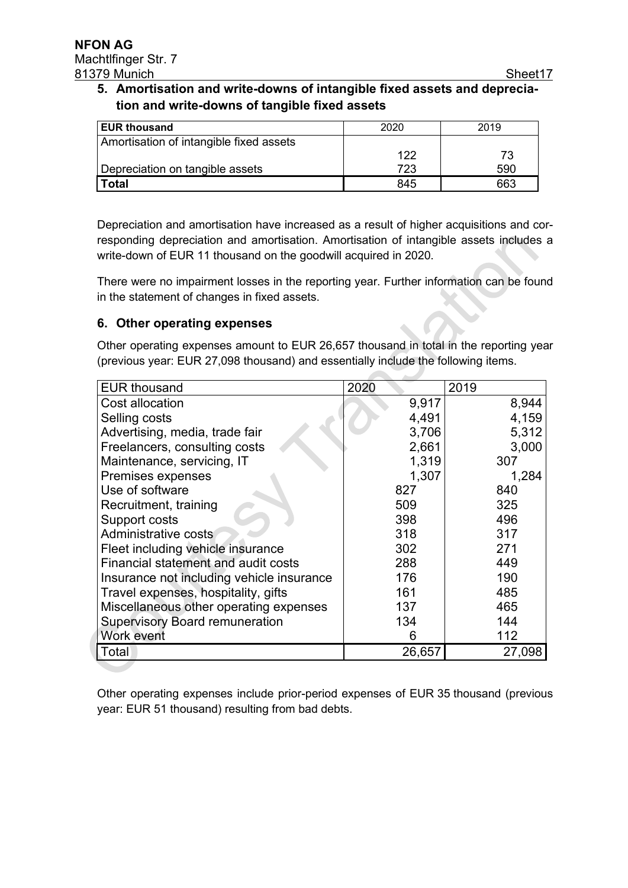$\mathcal{L}$ 

#### **5. Amortisation and write-downs of intangible fixed assets and depreciation and write-downs of tangible fixed assets**

| <b>EUR thousand</b>                     | 2020 | 2019 |
|-----------------------------------------|------|------|
| Amortisation of intangible fixed assets |      |      |
|                                         | 122  |      |
| Depreciation on tangible assets         | 723  | 590  |
| Гоtal                                   | 845  | 663  |

Depreciation and amortisation have increased as a result of higher acquisitions and corresponding depreciation and amortisation. Amortisation of intangible assets includes a write-down of EUR 11 thousand on the goodwill acquired in 2020.

There were no impairment losses in the reporting year. Further information can be found in the statement of changes in fixed assets.

#### **6. Other operating expenses**

Other operating expenses amount to EUR 26,657 thousand in total in the reporting year (previous year: EUR 27,098 thousand) and essentially include the following items.

| <b>EUR thousand</b>                       | 2020   | 2019   |
|-------------------------------------------|--------|--------|
| Cost allocation                           | 9,917  | 8,944  |
| Selling costs                             | 4,491  | 4,159  |
| Advertising, media, trade fair            | 3,706  | 5,312  |
| Freelancers, consulting costs             | 2,661  | 3,000  |
| Maintenance, servicing, IT                | 1,319  | 307    |
| Premises expenses                         | 1,307  | 1,284  |
| Use of software                           | 827    | 840    |
| Recruitment, training                     | 509    | 325    |
| Support costs                             | 398    | 496    |
| Administrative costs                      | 318    | 317    |
| Fleet including vehicle insurance         | 302    | 271    |
| Financial statement and audit costs       | 288    | 449    |
| Insurance not including vehicle insurance | 176    | 190    |
| Travel expenses, hospitality, gifts       | 161    | 485    |
| Miscellaneous other operating expenses    | 137    | 465    |
| <b>Supervisory Board remuneration</b>     | 134    | 144    |
| Work event                                | 6      | 112    |
| Total                                     | 26,657 | 27,098 |

Other operating expenses include prior-period expenses of EUR 35 thousand (previous year: EUR 51 thousand) resulting from bad debts.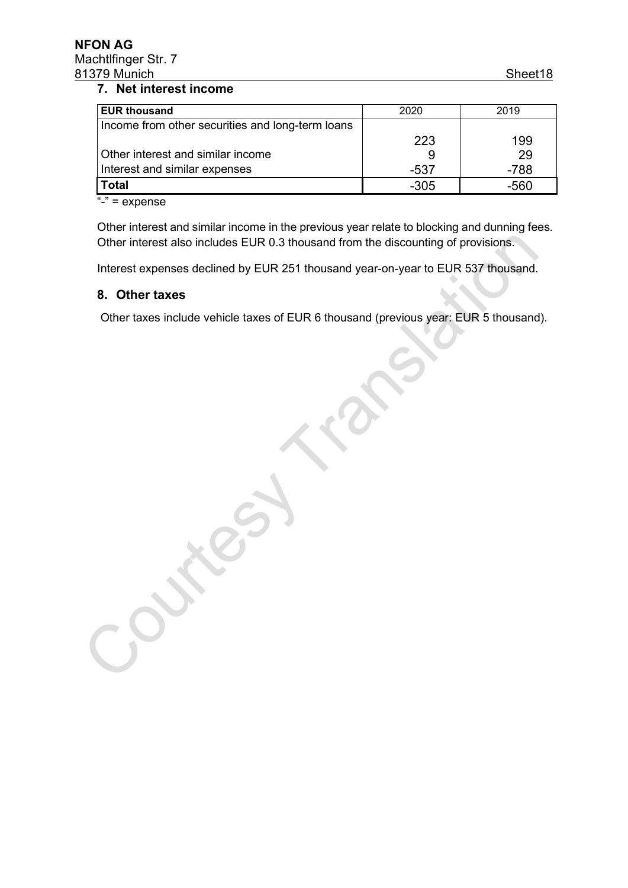#### **NFON AG**  Machtlfinger Str. 7 81379 Munich Sheet 18

#### **7. Net interest income**

| <b>EUR thousand</b>                              | 2020 | 2019   |
|--------------------------------------------------|------|--------|
| Income from other securities and long-term loans |      |        |
|                                                  | 223  | 199    |
| Other interest and similar income                |      | 29     |
| Interest and similar expenses                    | -537 | $-788$ |
| <b>Total</b>                                     | -305 | -560   |

 $\overline{N}$ -" = expense

Other interest and similar income in the previous year relate to blocking and dunning fees. Other interest also includes EUR 0.3 thousand from the discounting of provisions.

Interest expenses declined by EUR 251 thousand year-on-year to EUR 537 thousand.

#### **8. Other taxes**

Other taxes include vehicle taxes of EUR 6 thousand (previous year: EUR 5 thousand).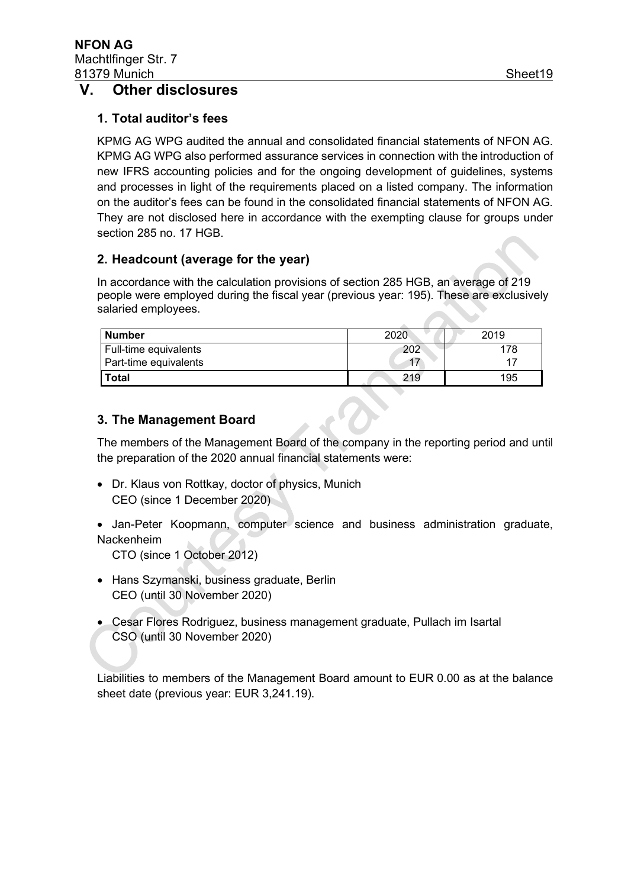#### **V. Other disclosures**

#### **1. Total auditor's fees**

KPMG AG WPG audited the annual and consolidated financial statements of NFON AG. KPMG AG WPG also performed assurance services in connection with the introduction of new IFRS accounting policies and for the ongoing development of guidelines, systems and processes in light of the requirements placed on a listed company. The information on the auditor's fees can be found in the consolidated financial statements of NFON AG. They are not disclosed here in accordance with the exempting clause for groups under section 285 no. 17 HGB.

#### **2. Headcount (average for the year)**

In accordance with the calculation provisions of section 285 HGB, an average of 219 people were employed during the fiscal year (previous year: 195). These are exclusively salaried employees.

| <b>Number</b>         | 2020 | 2019 |
|-----------------------|------|------|
| Full-time equivalents | 202  | 178  |
| Part-time equivalents |      |      |
| <b>Total</b>          | 219  | 195  |

#### **3. The Management Board**

The members of the Management Board of the company in the reporting period and until the preparation of the 2020 annual financial statements were:

- Dr. Klaus von Rottkay, doctor of physics, Munich CEO (since 1 December 2020)
- Jan-Peter Koopmann, computer science and business administration graduate, Nackenheim

CTO (since 1 October 2012)

- Hans Szymanski, business graduate, Berlin CEO (until 30 November 2020)
- Cesar Flores Rodriguez, business management graduate, Pullach im Isartal CSO (until 30 November 2020)

Liabilities to members of the Management Board amount to EUR 0.00 as at the balance sheet date (previous year: EUR 3,241.19).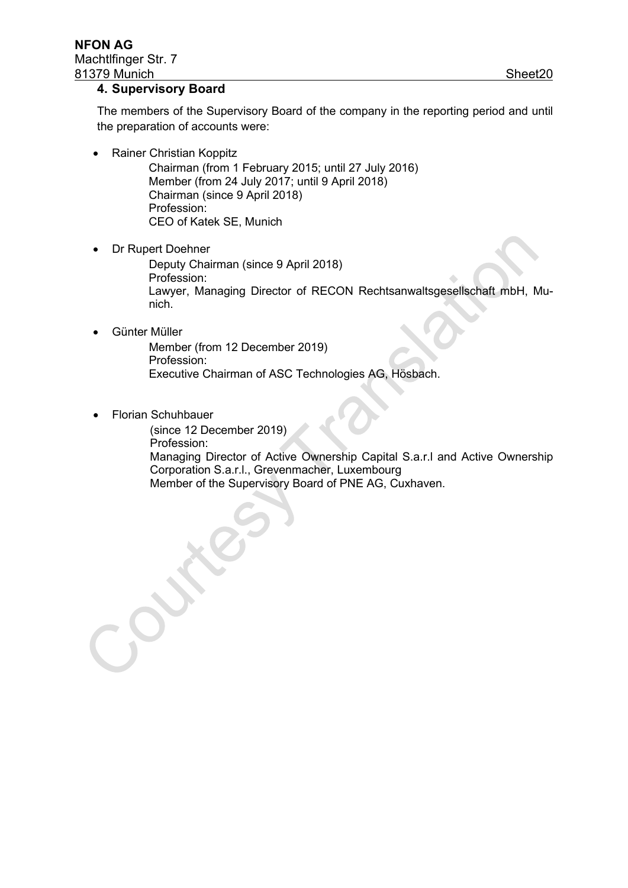#### **4. Supervisory Board**

The members of the Supervisory Board of the company in the reporting period and until the preparation of accounts were:

• Rainer Christian Koppitz

Chairman (from 1 February 2015; until 27 July 2016) Member (from 24 July 2017; until 9 April 2018) Chairman (since 9 April 2018) Profession: CEO of Katek SE, Munich

• Dr Rupert Doehner

Deputy Chairman (since 9 April 2018) Profession: Lawyer, Managing Director of RECON Rechtsanwaltsgesellschaft mbH, Munich.

• Günter Müller

Member (from 12 December 2019) Profession: Executive Chairman of ASC Technologies AG, Hösbach.

• Florian Schuhbauer

(since 12 December 2019) Profession: Managing Director of Active Ownership Capital S.a.r.l and Active Ownership Corporation S.a.r.l., Grevenmacher, Luxembourg Member of the Supervisory Board of PNE AG, Cuxhaven.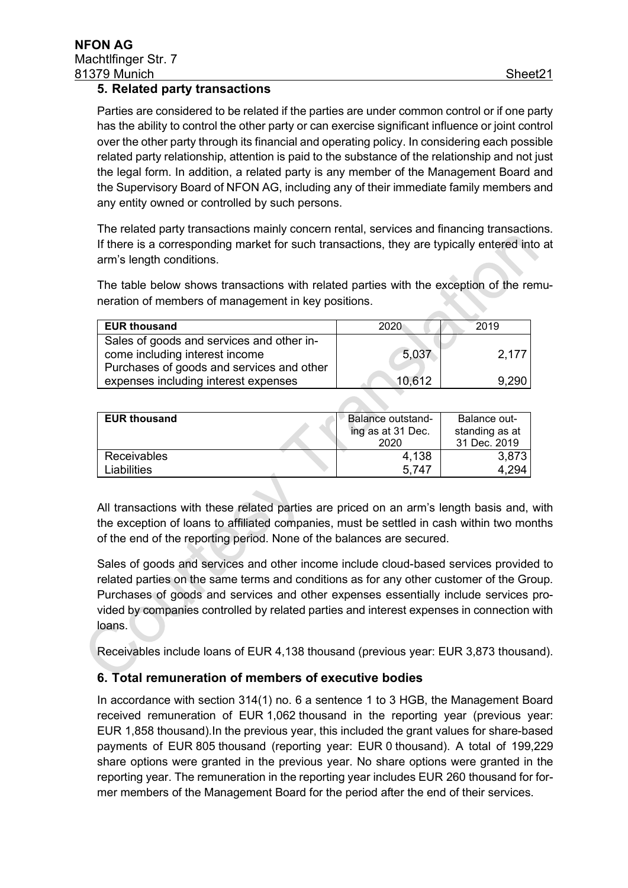#### **5. Related party transactions**

Parties are considered to be related if the parties are under common control or if one party has the ability to control the other party or can exercise significant influence or joint control over the other party through its financial and operating policy. In considering each possible related party relationship, attention is paid to the substance of the relationship and not just the legal form. In addition, a related party is any member of the Management Board and the Supervisory Board of NFON AG, including any of their immediate family members and any entity owned or controlled by such persons.

The related party transactions mainly concern rental, services and financing transactions. If there is a corresponding market for such transactions, they are typically entered into at arm's length conditions.

The table below shows transactions with related parties with the exception of the remuneration of members of management in key positions.

| <b>EUR thousand</b>                       | 2020   | 2019  |
|-------------------------------------------|--------|-------|
| Sales of goods and services and other in- |        |       |
| come including interest income            | 5,037  | 2,177 |
| Purchases of goods and services and other |        |       |
| expenses including interest expenses      | 10.612 | 9.290 |

| <b>EUR thousand</b> | Balance outstand- | Balance out-   |
|---------------------|-------------------|----------------|
|                     | ing as at 31 Dec. | standing as at |
|                     | 2020              | 31 Dec. 2019   |
| <b>Receivables</b>  | 4,138             | 3.8731         |
| .iabilities.        | 5.747             | 4 294          |

All transactions with these related parties are priced on an arm's length basis and, with the exception of loans to affiliated companies, must be settled in cash within two months of the end of the reporting period. None of the balances are secured.

Sales of goods and services and other income include cloud-based services provided to related parties on the same terms and conditions as for any other customer of the Group. Purchases of goods and services and other expenses essentially include services provided by companies controlled by related parties and interest expenses in connection with loans.

Receivables include loans of EUR 4,138 thousand (previous year: EUR 3,873 thousand).

#### **6. Total remuneration of members of executive bodies**

In accordance with section 314(1) no. 6 a sentence 1 to 3 HGB, the Management Board received remuneration of EUR 1,062 thousand in the reporting year (previous year: EUR 1,858 thousand).In the previous year, this included the grant values for share-based payments of EUR 805 thousand (reporting year: EUR 0 thousand). A total of 199,229 share options were granted in the previous year. No share options were granted in the reporting year. The remuneration in the reporting year includes EUR 260 thousand for former members of the Management Board for the period after the end of their services.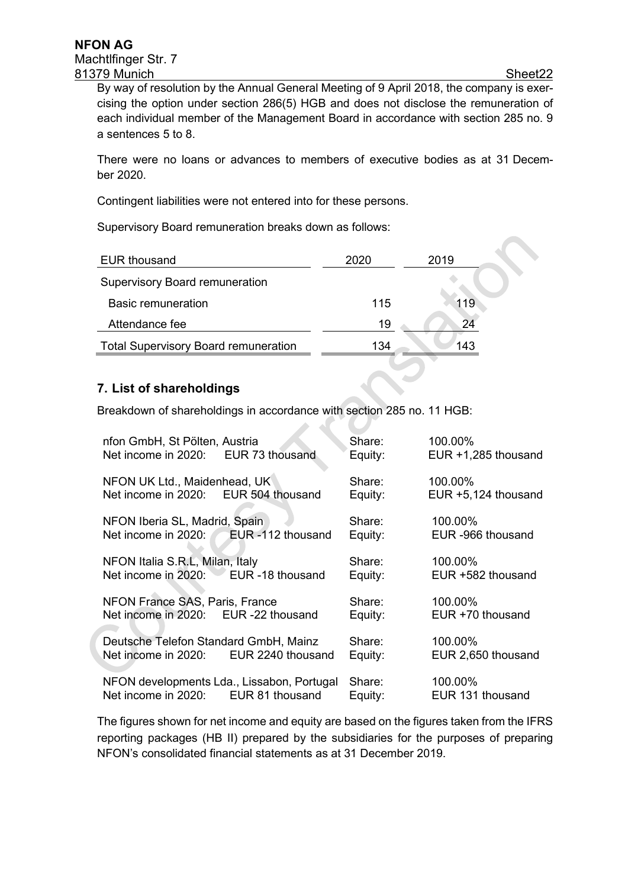By way of resolution by the Annual General Meeting of 9 April 2018, the company is exercising the option under section 286(5) HGB and does not disclose the remuneration of each individual member of the Management Board in accordance with section 285 no. 9 a sentences 5 to 8.

There were no loans or advances to members of executive bodies as at 31 December 2020.

Contingent liabilities were not entered into for these persons.

Supervisory Board remuneration breaks down as follows:

| <b>EUR thousand</b>                         | 2020 | 2019 |
|---------------------------------------------|------|------|
| <b>Supervisory Board remuneration</b>       |      |      |
| Basic remuneration                          | 115  | 119  |
| Attendance fee                              | 19   | 24   |
| <b>Total Supervisory Board remuneration</b> | 134  | 143  |

#### **7. List of shareholdings**

Breakdown of shareholdings in accordance with section 285 no. 11 HGB:

| nfon GmbH, St Pölten, Austria<br>Net income in 2020: EUR 73 thousand                 | Share:<br>Equity: | 100.00%<br>EUR +1,285 thousand |
|--------------------------------------------------------------------------------------|-------------------|--------------------------------|
| NFON UK Ltd., Maidenhead, UK<br>Net income in 2020: EUR 504 thousand                 | Share:<br>Equity: | 100.00%<br>EUR +5,124 thousand |
| NFON Iberia SL, Madrid, Spain<br>EUR -112 thousand<br>Net income in 2020:            | Share:<br>Equity: | 100.00%<br>EUR -966 thousand   |
| NFON Italia S.R.L, Milan, Italy<br>EUR -18 thousand<br>Net income in 2020:           | Share:<br>Equity: | 100.00%<br>EUR +582 thousand   |
| NFON France SAS, Paris, France<br>EUR -22 thousand<br>Net income in 2020:            | Share:<br>Equity: | 100.00%<br>EUR +70 thousand    |
| Deutsche Telefon Standard GmbH, Mainz<br>Net income in 2020:<br>EUR 2240 thousand    | Share:<br>Equity: | 100.00%<br>EUR 2,650 thousand  |
| NFON developments Lda., Lissabon, Portugal<br>Net income in 2020:<br>EUR 81 thousand | Share:<br>Equity: | 100.00%<br>EUR 131 thousand    |

 $\mathcal{A}_\mathcal{A}$ 

The figures shown for net income and equity are based on the figures taken from the IFRS reporting packages (HB II) prepared by the subsidiaries for the purposes of preparing NFON's consolidated financial statements as at 31 December 2019.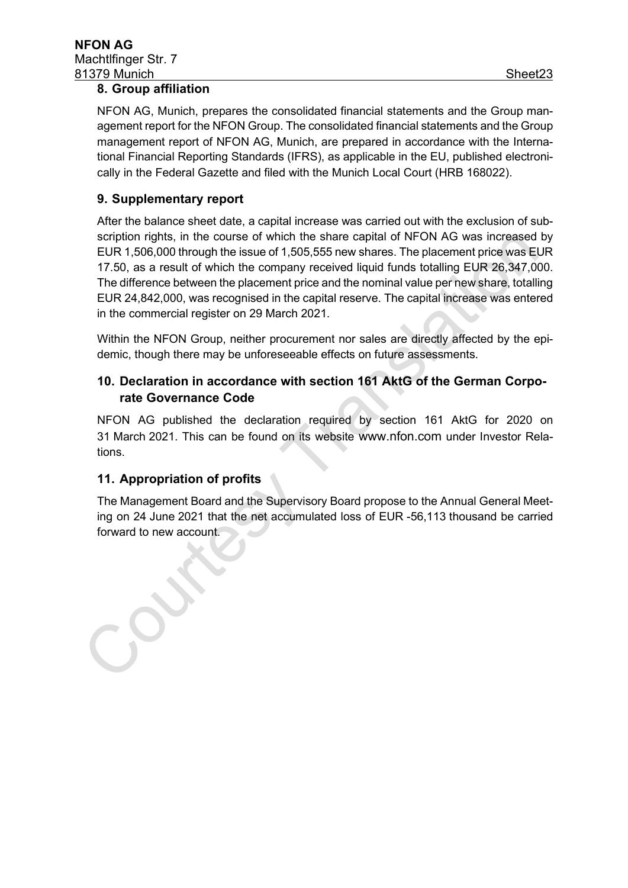#### **8. Group affiliation**

NFON AG, Munich, prepares the consolidated financial statements and the Group management report for the NFON Group. The consolidated financial statements and the Group management report of NFON AG, Munich, are prepared in accordance with the International Financial Reporting Standards (IFRS), as applicable in the EU, published electronically in the Federal Gazette and filed with the Munich Local Court (HRB 168022).

#### **9. Supplementary report**

After the balance sheet date, a capital increase was carried out with the exclusion of subscription rights, in the course of which the share capital of NFON AG was increased by EUR 1,506,000 through the issue of 1,505,555 new shares. The placement price was EUR 17.50, as a result of which the company received liquid funds totalling EUR 26,347,000. The difference between the placement price and the nominal value per new share, totalling EUR 24,842,000, was recognised in the capital reserve. The capital increase was entered in the commercial register on 29 March 2021.

Within the NFON Group, neither procurement nor sales are directly affected by the epidemic, though there may be unforeseeable effects on future assessments.

#### **10. Declaration in accordance with section 161 AktG of the German Corporate Governance Code**

NFON AG published the declaration required by section 161 AktG for 2020 on 31 March 2021. This can be found on its website [www.nfon.com](http://www.nfon.com/) under Investor Relations.

#### **11. Appropriation of profits**

The Management Board and the Supervisory Board propose to the Annual General Meeting on 24 June 2021 that the net accumulated loss of EUR -56,113 thousand be carried forward to new account.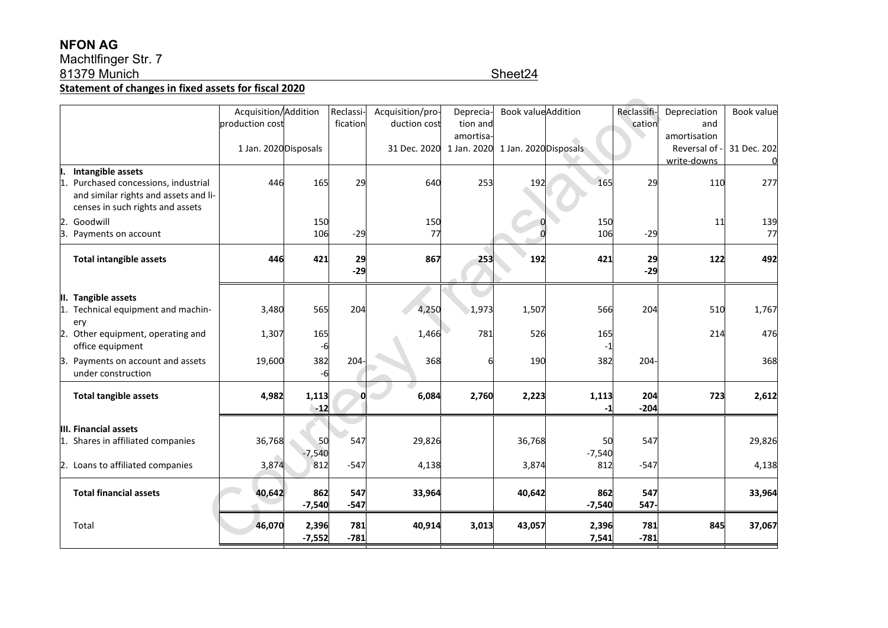### **NFON AG**

#### Machtlfinger Str. 7 81379 Munich Sheet24

**Statement of changes in fixed assets for fiscal 2020**

|                                        | Acquisition/Addition  |          | Reclassi-    | Acquisition/pro-                               | Deprecia- | <b>Book value</b> Addition |          | Reclassifi | Depreciation  | Book value  |
|----------------------------------------|-----------------------|----------|--------------|------------------------------------------------|-----------|----------------------------|----------|------------|---------------|-------------|
|                                        | production cost       |          | fication     | duction cost                                   | tion and  |                            |          | cation     | and           |             |
|                                        |                       |          |              |                                                | amortisa- |                            |          |            | amortisation  |             |
|                                        | 1 Jan. 2020 Disposals |          |              | 31 Dec. 2020 1 Jan. 2020 1 Jan. 2020 Disposals |           |                            |          |            | Reversal of - | 31 Dec. 202 |
|                                        |                       |          |              |                                                |           |                            |          |            | write-downs   |             |
| Intangible assets                      |                       |          |              |                                                |           |                            |          |            |               |             |
| Purchased concessions, industrial<br>1 | 446                   | 165      | 29           | 640                                            | 253       | 192                        | 165      | 29         | 110           | 277         |
| and similar rights and assets and li-  |                       |          |              |                                                |           |                            |          |            |               |             |
| censes in such rights and assets       |                       |          |              |                                                |           |                            |          |            |               |             |
| Goodwill<br>2.                         |                       | 150      |              | 150                                            |           |                            | 150      |            | 11            | 139         |
| 3.<br>Payments on account              |                       | 106      | $-29$        | 77                                             |           |                            | 106      | $-29$      |               | 77          |
|                                        |                       |          |              |                                                |           |                            |          |            |               |             |
| <b>Total intangible assets</b>         | 446                   | 421      | 29           | 867                                            | 253       | 192                        | 421      | 29         | 122           | 492         |
|                                        |                       |          | $-29$        |                                                |           |                            |          | $-29$      |               |             |
|                                        |                       |          |              |                                                |           |                            |          |            |               |             |
| II. Tangible assets                    |                       |          |              |                                                |           |                            |          |            |               |             |
| Technical equipment and machin-<br>1.  | 3,480                 | 565      | 204          | 4,250                                          | 1,973     | 1,507                      | 566      | 204        | 510           | 1,767       |
| ery                                    |                       |          |              |                                                |           |                            |          |            |               |             |
| Other equipment, operating and<br>2.   | 1,307                 | 165      |              | 1,466                                          | 781       | 526                        | 165      |            | 214           | 476         |
| office equipment                       |                       | -6       |              |                                                |           |                            |          |            |               |             |
|                                        |                       |          |              |                                                |           |                            |          |            |               |             |
| 3. Payments on account and assets      | 19,600                | 382      | 204-         | 368                                            |           | 190                        | 382      | $204 -$    |               | 368         |
| under construction                     |                       | -6       |              |                                                |           |                            |          |            |               |             |
| <b>Total tangible assets</b>           | 4,982                 | 1,113    | <sup>0</sup> | 6,084                                          | 2,760     | 2,223                      | 1,113    | 204        | 723           | 2,612       |
|                                        |                       | $-12$    |              |                                                |           |                            |          | $-204$     |               |             |
|                                        |                       |          |              |                                                |           |                            |          |            |               |             |
| III. Financial assets                  |                       |          |              |                                                |           |                            |          |            |               |             |
| 1. Shares in affiliated companies      | 36,768                | 50       | 547          | 29,826                                         |           | 36,768                     | 50       | 547        |               | 29,826      |
|                                        |                       | $-7,540$ |              |                                                |           |                            | $-7,540$ |            |               |             |
| 2. Loans to affiliated companies       | 3,874                 | 812      | $-547$       | 4,138                                          |           | 3,874                      | 812      | $-547$     |               | 4,138       |
|                                        |                       |          |              |                                                |           |                            |          |            |               |             |
| <b>Total financial assets</b>          | 40,642                | 862      | 547          | 33,964                                         |           | 40,642                     | 862      | 547        |               | 33,964      |
|                                        |                       | $-7,540$ | $-547$       |                                                |           |                            | $-7,540$ | 547-       |               |             |
|                                        |                       |          |              |                                                |           |                            |          |            |               |             |
| Total                                  | 46,070                | 2,396    | 781          | 40,914                                         | 3,013     | 43,057                     | 2,396    | 781        | 845           | 37,067      |
|                                        |                       | $-7,552$ | $-781$       |                                                |           |                            | 7,541    | $-781$     |               |             |
|                                        |                       |          |              |                                                |           |                            |          |            |               |             |